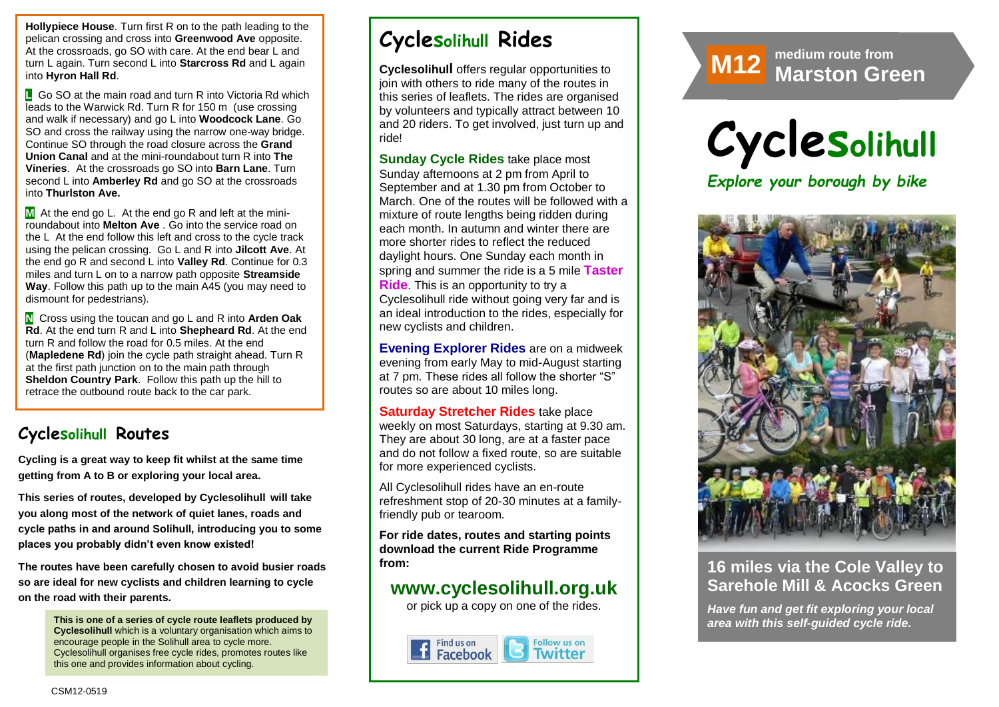**Hollypiece House**. Turn first R on to the path leading to the pelican crossing and cross into **Greenwood Ave** opposite. At the crossroads, go SO with care. At the end bear L and turn L again. Turn second L into **Starcross Rd** and L again into **Hyron Hall Rd**.

**L** Go SO at the main road and turn R into Victoria Rd which leads to the Warwick Rd. Turn R for 150 m (use crossing and walk if necessary) and go L into **Woodcock Lane**. Go SO and cross the railway using the narrow one-way bridge. Continue SO through the road closure across the **Grand Union Canal** and at the mini-roundabout turn R into **The Vineries**. At the crossroads go SO into **Barn Lane**. Turn second L into **Amberley Rd** and go SO at the crossroads into **Thurlston Ave.** 

**M** At the end go L. At the end go R and left at the miniroundabout into **Melton Ave** . Go into the service road on the L At the end follow this left and cross to the cycle track using the pelican crossing. Go L and R into **Jilcott Ave**. At the end go R and second L into **Valley Rd**. Continue for 0.3 miles and turn L on to a narrow path opposite **Streamside Way**. Follow this path up to the main A45 (you may need to dismount for pedestrians).

**N** Cross using the toucan and go L and R into **Arden Oak Rd**. At the end turn R and L into **Shepheard Rd**. At the end turn R and follow the road for 0.5 miles. At the end (**Mapledene Rd**) join the cycle path straight ahead. Turn R at the first path junction on to the main path through **Sheldon Country Park**. Follow this path up the hill to retrace the outbound route back to the car park.

### **Cyclesolihull Routes**

**Cycling is a great way to keep fit whilst at the same time getting from A to B or exploring your local area.** 

**This series of routes, developed by Cyclesolihull will take you along most of the network of quiet lanes, roads and cycle paths in and around Solihull, introducing you to some places you probably didn't even know existed!**

**The routes have been carefully chosen to avoid busier roads so are ideal for new cyclists and children learning to cycle on the road with their parents.** 

**This is one of a series of cycle route leaflets produced by Cyclesolihull** which is a voluntary organisation which aims to organization which aims to **Cyclesolihull organises free cycle rides, promotes routes like** encourage people in the Solihull area to cycle more. this one and provides information about cycling.

# **Cyclesolihull Rides**

**Cyclesolihull** offers regular opportunities to join with others to ride many of the routes in this series of leaflets. The rides are organised by volunteers and typically attract between 10 and 20 riders. To get involved, just turn up and ride!

**Sunday Cycle Rides** take place most Sunday afternoons at 2 pm from April to September and at 1.30 pm from October to March. One of the routes will be followed with a mixture of route lengths being ridden during each month. In autumn and winter there are more shorter rides to reflect the reduced daylight hours. One Sunday each month in spring and summer the ride is a 5 mile **Taster Ride**. This is an opportunity to try a Cyclesolihull ride without going very far and is an ideal introduction to the rides, especially for new cyclists and children.

**Evening Explorer Rides** are on a midweek evening from early May to mid-August starting at 7 pm. These rides all follow the shorter "S" routes so are about 10 miles long.

**Saturday Stretcher Rides** take place weekly on most Saturdays, starting at 9.30 am. They are about 30 long, are at a faster pace and do not follow a fixed route, so are suitable for more experienced cyclists.

All Cyclesolihull rides have an en-route refreshment stop of 20-30 minutes at a familyfriendly pub or tearoom.

**For ride dates, routes and starting points download the current Ride Programme from:** 

## **www.cyclesolihull.org.uk**

or pick up a copy on one of the rides.







### **16 miles via the Cole Valley to Sarehole Mill & Acocks Green**

*Have fun and get fit exploring your local area with this self-guided cycle ride.*